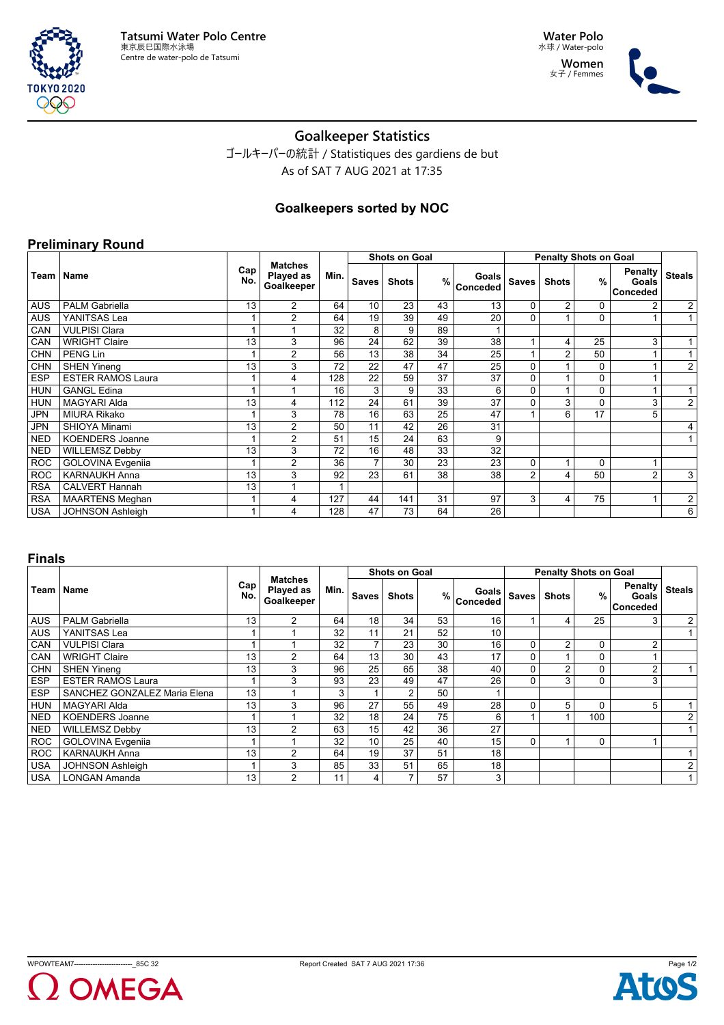



# **Goalkeeper Statistics**

ゴールキーパーの統計 / Statistiques des gardiens de but As of SAT 7 AUG 2021 at 17:35

## **Goalkeepers sorted by NOC**

#### **Preliminary Round**

|            |                          |            |                                           |      |                | <b>Shots on Goal</b> |    |                                          | <b>Penalty Shots on Goal</b> |                |               |                                            |                |
|------------|--------------------------|------------|-------------------------------------------|------|----------------|----------------------|----|------------------------------------------|------------------------------|----------------|---------------|--------------------------------------------|----------------|
|            | Team   Name              | Cap<br>No. | <b>Matches</b><br>Played as<br>Goalkeeper | Min. | <b>Saves</b>   | <b>Shots</b>         |    | Goals<br>$%$ $\sim$ $\sim$ $\sim$ $\sim$ | <b>Saves</b>                 | <b>Shots</b>   | $\frac{9}{6}$ | <b>Penalty</b><br>Goals<br><b>Conceded</b> | <b>Steals</b>  |
| <b>AUS</b> | <b>PALM Gabriella</b>    | 13         | $\overline{2}$                            | 64   | 10             | 23                   | 43 | 13                                       | $\Omega$                     | $\overline{2}$ | 0             | 2                                          | $\overline{a}$ |
| <b>AUS</b> | YANITSAS Lea             |            | $\overline{2}$                            | 64   | 19             | 39                   | 49 | 20                                       | $\Omega$                     |                | 0             |                                            | 1              |
| CAN        | <b>VULPISI Clara</b>     |            | 1                                         | 32   | 8              | 9                    | 89 |                                          |                              |                |               |                                            |                |
| CAN        | <b>WRIGHT Claire</b>     | 13         | 3                                         | 96   | 24             | 62                   | 39 | 38                                       |                              | 4              | 25            | 3                                          |                |
| <b>CHN</b> | PENG Lin                 |            | $\overline{2}$                            | 56   | 13             | 38                   | 34 | 25                                       |                              | $\overline{2}$ | 50            |                                            | 1              |
| <b>CHN</b> | <b>SHEN Yineng</b>       | 13         | 3                                         | 72   | 22             | 47                   | 47 | 25                                       | $\Omega$                     |                | 0             |                                            | $\overline{2}$ |
| <b>ESP</b> | <b>ESTER RAMOS Laura</b> |            | 4                                         | 128  | 22             | 59                   | 37 | 37                                       | $\Omega$                     |                | 0             |                                            |                |
| <b>HUN</b> | <b>GANGL Edina</b>       |            | 1                                         | 16   | 3              | 9                    | 33 | 6                                        | $\Omega$                     |                | 0             |                                            | $\mathbf{1}$   |
| <b>HUN</b> | <b>MAGYARI Alda</b>      | 13         | 4                                         | 112  | 24             | 61                   | 39 | 37                                       | $\Omega$                     | 3              | 0             | 3                                          | $\overline{2}$ |
| <b>JPN</b> | <b>MIURA Rikako</b>      |            | 3                                         | 78   | 16             | 63                   | 25 | 47                                       |                              | 6              | 17            | 5                                          |                |
| JPN        | <b>SHIOYA Minami</b>     | 13         | $\overline{2}$                            | 50   | 11             | 42                   | 26 | 31                                       |                              |                |               |                                            | 4              |
| <b>NED</b> | <b>KOENDERS Joanne</b>   |            | $\overline{2}$                            | 51   | 15             | 24                   | 63 | 9                                        |                              |                |               |                                            | 1              |
| <b>NED</b> | <b>WILLEMSZ Debby</b>    | 13         | 3                                         | 72   | 16             | 48                   | 33 | 32                                       |                              |                |               |                                            |                |
| <b>ROC</b> | <b>GOLOVINA Evgenija</b> |            | 2                                         | 36   | $\overline{7}$ | 30                   | 23 | 23                                       | $\Omega$                     |                | $\Omega$      |                                            |                |
| <b>ROC</b> | <b>KARNAUKH Anna</b>     | 13         | 3                                         | 92   | 23             | 61                   | 38 | 38                                       | $\overline{2}$               | 4              | 50            | $\overline{2}$                             | 3              |
| <b>RSA</b> | <b>CALVERT Hannah</b>    | 13         | 1                                         |      |                |                      |    |                                          |                              |                |               |                                            |                |
| <b>RSA</b> | <b>MAARTENS Meghan</b>   |            | 4                                         | 127  | 44             | 141                  | 31 | 97                                       | 3                            | 4              | 75            |                                            | 2 <sub>1</sub> |
| <b>USA</b> | <b>JOHNSON Ashleigh</b>  |            | 4                                         | 128  | 47             | 73                   | 64 | 26                                       |                              |                |               |                                            | 6              |

#### **Finals**

|            |                              |            |                                           |      |                 | <b>Shots on Goal</b> |    |                        | <b>Penalty Shots on Goal</b> |                |               |                                     |               |
|------------|------------------------------|------------|-------------------------------------------|------|-----------------|----------------------|----|------------------------|------------------------------|----------------|---------------|-------------------------------------|---------------|
|            | Team   Name                  | Cap<br>No. | <b>Matches</b><br>Played as<br>Goalkeeper | Min. | <b>Saves</b>    | <b>Shots</b>         |    | Goals<br>$\%$ Conceded | <b>Saves</b>                 | <b>Shots</b>   | $\frac{9}{6}$ | <b>Penalty</b><br>Goals<br>Conceded | <b>Steals</b> |
| <b>AUS</b> | <b>PALM Gabriella</b>        | 13         | $\overline{2}$                            | 64   | 18              | 34                   | 53 | 16                     |                              | 4              | 25            | 3                                   | 2             |
| <b>AUS</b> | YANITSAS Lea                 |            |                                           | 32   | 11              | 21                   | 52 | 10                     |                              |                |               |                                     |               |
| CAN        | <b>VULPISI Clara</b>         |            |                                           | 32   |                 | 23                   | 30 | 16                     | $\Omega$                     | $\overline{2}$ | 0             | 2                                   |               |
| CAN        | <b>WRIGHT Claire</b>         | 13         | $\overline{2}$                            | 64   | 13              | 30                   | 43 | 17                     | $\Omega$                     |                | 0             |                                     |               |
| <b>CHN</b> | <b>SHEN Yineng</b>           | 13         | 3                                         | 96   | 25              | 65                   | 38 | 40                     | $\Omega$                     | $\overline{2}$ | 0             | $\overline{2}$                      | 1             |
| <b>ESP</b> | <b>ESTER RAMOS Laura</b>     |            | 3                                         | 93   | 23              | 49                   | 47 | 26                     | $\Omega$                     | 3              | $\mathbf 0$   | 3                                   |               |
| <b>ESP</b> | SANCHEZ GONZALEZ Maria Elena | 13         |                                           | 3    |                 | $\sim$               | 50 |                        |                              |                |               |                                     |               |
| <b>HUN</b> | <b>MAGYARI Alda</b>          | 13         | 3                                         | 96   | 27              | 55                   | 49 | 28                     | $\mathbf{0}$                 | 5              | $\mathbf 0$   | 5                                   |               |
| <b>NED</b> | <b>KOENDERS Joanne</b>       |            |                                           | 32   | 18              | 24                   | 75 | 6                      |                              |                | 100           |                                     | 2             |
| <b>NED</b> | <b>WILLEMSZ Debby</b>        | 13         | 2                                         | 63   | 15              | 42                   | 36 | 27                     |                              |                |               |                                     |               |
| <b>ROC</b> | <b>GOLOVINA Evgenija</b>     |            |                                           | 32   | 10 <sup>1</sup> | 25                   | 40 | 15                     | $\Omega$                     |                | $\mathbf 0$   |                                     |               |
| <b>ROC</b> | <b>KARNAUKH Anna</b>         | 13         | 2                                         | 64   | 19              | 37                   | 51 | 18                     |                              |                |               |                                     |               |
| <b>USA</b> | <b>JOHNSON Ashleigh</b>      |            | 3                                         | 85   | 33              | 51                   | 65 | 18                     |                              |                |               |                                     | 2             |
| <b>USA</b> | <b>LONGAN Amanda</b>         | 13         | $\overline{2}$                            | 11   | $\overline{4}$  |                      | 57 | 3                      |                              |                |               |                                     |               |